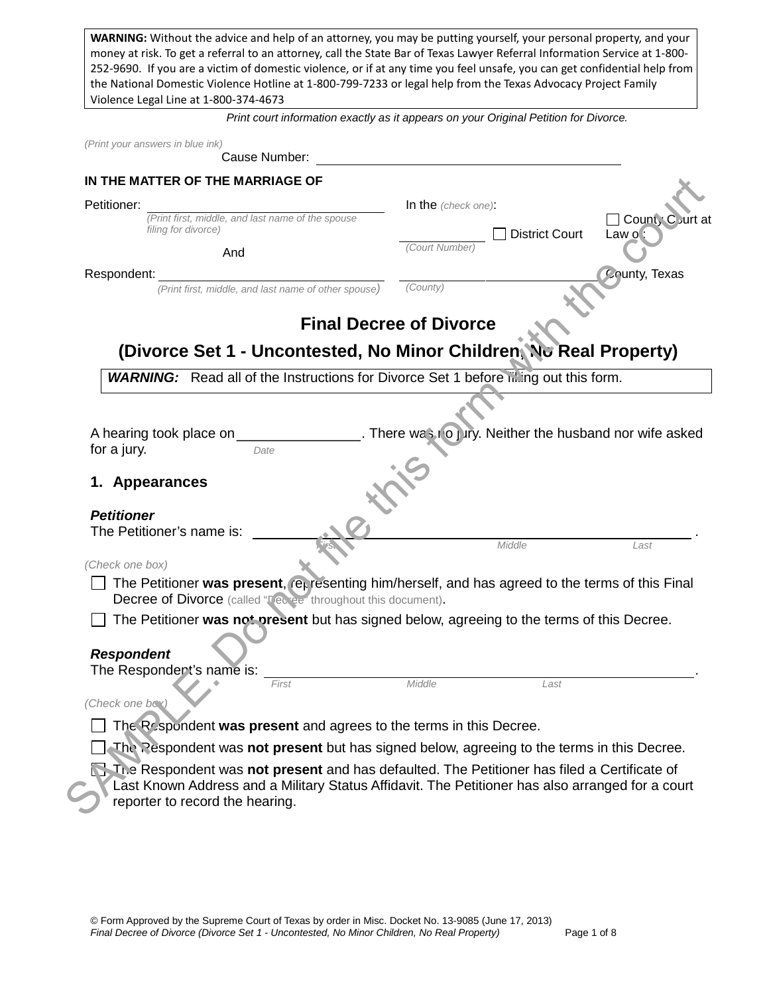**WARNING:** Without the advice and help of an attorney, you may be putting yourself, your personal property, and your money at risk. To get a referral to an attorney, call the State Bar of Texas Lawyer Referral Information Service at 1-800- 252-9690. If you are a victim of domestic violence, or if at any time you feel unsafe, you can get confidential help from the National Domestic Violence Hotline at 1-800-799-7233 or legal help from the Texas Advocacy Project Family Violence Legal Line at 1-800-374-4673

*Print court information exactly as it appears on your Original Petition for Divorce.* 

| (Print your answers in blue ink)<br>Cause Number:                                                                                                                                                                                  |                                          |                       |                                                                 |
|------------------------------------------------------------------------------------------------------------------------------------------------------------------------------------------------------------------------------------|------------------------------------------|-----------------------|-----------------------------------------------------------------|
| IN THE MATTER OF THE MARRIAGE OF                                                                                                                                                                                                   |                                          |                       |                                                                 |
| Petitioner:<br>(Print first, middle, and last name of the spouse<br>filing for divorce)<br>And                                                                                                                                     | In the $(check one)$ :<br>(Court Number) | <b>District Court</b> | Count, Court at<br>Law of                                       |
| Respondent:                                                                                                                                                                                                                        |                                          |                       | <b>County, Texas</b>                                            |
| (Print first, middle, and last name of other spouse)                                                                                                                                                                               | (County)                                 |                       |                                                                 |
| <b>Final Decree of Divorce</b>                                                                                                                                                                                                     |                                          |                       |                                                                 |
| (Divorce Set 1 - Uncontested, No Minor Children, No Real Property)                                                                                                                                                                 |                                          |                       |                                                                 |
| <b>WARNING:</b> Read all of the Instructions for Divorce Set 1 before inting out this form.                                                                                                                                        |                                          |                       |                                                                 |
| A hearing took place on<br>for a jury.<br>Date<br>Appearances<br><b>Petitioner</b><br>The Petitioner's name is:                                                                                                                    |                                          | Middle                | . There was ro jury. Neither the husband nor wife asked<br>Last |
| (Check one box)                                                                                                                                                                                                                    |                                          |                       |                                                                 |
| The Petitioner was present, representing him/herself, and has agreed to the terms of this Final<br>Decree of Divorce (called "Tecree" throughout this document).                                                                   |                                          |                       |                                                                 |
| The Petitioner was not present but has signed below, agreeing to the terms of this Decree.                                                                                                                                         |                                          |                       |                                                                 |
| <b>Respondent</b><br>The Respondent's name is:                                                                                                                                                                                     |                                          |                       |                                                                 |
| First                                                                                                                                                                                                                              | Middle                                   | Last                  |                                                                 |
| (Check one box)<br>The Respondent was present and agrees to the terms in this Decree.                                                                                                                                              |                                          |                       |                                                                 |
| The Respondent was not present but has signed below, agreeing to the terms in this Decree.                                                                                                                                         |                                          |                       |                                                                 |
| The Respondent was not present and has defaulted. The Petitioner has filed a Certificate of<br>Last Known Address and a Military Status Affidavit. The Petitioner has also arranged for a court<br>reporter to record the hearing. |                                          |                       |                                                                 |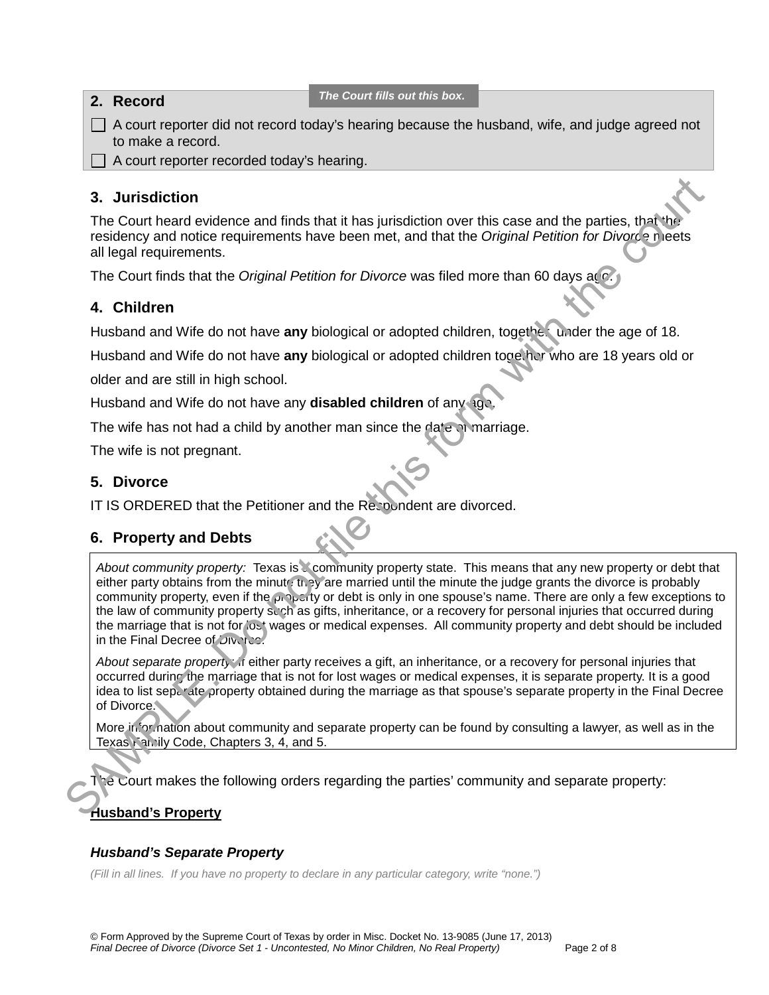| 2. Record                                         | The Court fills out this box. |                                                                                                        |
|---------------------------------------------------|-------------------------------|--------------------------------------------------------------------------------------------------------|
| to make a record.                                 |                               | $\Box$ A court reporter did not record today's hearing because the husband, wife, and judge agreed not |
| $\Box$ A court reporter recorded today's hearing. |                               |                                                                                                        |
|                                                   |                               |                                                                                                        |

## **3. Jurisdiction**

The Court heard evidence and finds that it has jurisdiction over this case and the parties, that the residency and notice requirements have been met, and that the *Original Petition for Divorce* meets all legal requirements.

The Court finds that the *Original Petition for Divorce* was filed more than 60 days ago.

# **4. Children**

Husband and Wife do not have any biological or adopted children, together, under the age of 18.

Husband and Wife do not have **any** biological or adopted children together who are 18 years old or

older and are still in high school.

Husband and Wife do not have any **disabled children** of any age.

The wife has not had a child by another man since the date of marriage.

The wife is not pregnant.

## **5. Divorce**

IT IS ORDERED that the Petitioner and the Respondent are divorced.

# **6. Property and Debts**

*About community property:* Texas is a community property state. This means that any new property or debt that either party obtains from the minute they are married until the minute the judge grants the divorce is probably community property, even if the property or debt is only in one spouse's name. There are only a few exceptions to the law of community property such as gifts, inheritance, or a recovery for personal injuries that occurred during the marriage that is not for lost wages or medical expenses. All community property and debt should be included in the Final Decree of Divorce. **S.** Jurisdiction<br>
The Court head evidence and finds that it has jurisdiction over this case and the periies, that<br>
the court make that the *Original Petition for Divorce* was flied more than 60 days agg.<br>
The Court lines

*About separate property:* If either party receives a gift, an inheritance, or a recovery for personal injuries that occurred during the marriage that is not for lost wages or medical expenses, it is separate property. It is a good idea to list separate property obtained during the marriage as that spouse's separate property in the Final Decree of Divorce.

More information about community and separate property can be found by consulting a lawyer, as well as in the Texas Family Code, Chapters 3, 4, and 5.

The Court makes the following orders regarding the parties' community and separate property:

## **Husband's Property**

## *Husband's Separate Property*

*(Fill in all lines. If you have no property to declare in any particular category, write "none.")*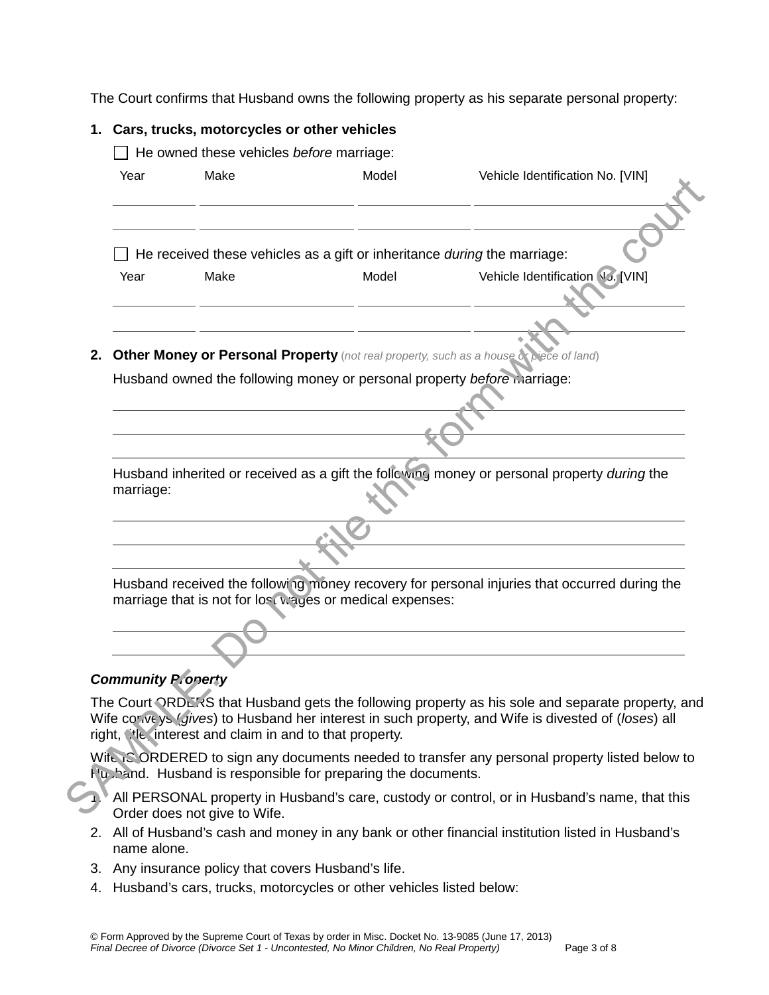The Court confirms that Husband owns the following property as his separate personal property:

|                            | 1. Cars, trucks, motorcycles or other vehicles         |                                                                                   |                                                                                                                                                                                                         |
|----------------------------|--------------------------------------------------------|-----------------------------------------------------------------------------------|---------------------------------------------------------------------------------------------------------------------------------------------------------------------------------------------------------|
| Year                       | He owned these vehicles before marriage:<br>Make       | Model                                                                             | Vehicle Identification No. [VIN]                                                                                                                                                                        |
| Year                       | Make                                                   | He received these vehicles as a gift or inheritance during the marriage:<br>Model | Vehicle Identification V3. [VIN]                                                                                                                                                                        |
| 2.                         |                                                        | Husband owned the following money or personal property before marriage:           | <b>Other Money or Personal Property</b> (not real property, such as a house or piece of land)                                                                                                           |
| marriage:                  |                                                        |                                                                                   | Husband inherited or received as a gift the following money or personal property during the                                                                                                             |
|                            |                                                        | marriage that is not for lost wages or medical expenses:                          | Husband received the following money recovery for personal injuries that occurred during the                                                                                                            |
| <b>Community P. onerty</b> | right, the interest and claim in and to that property. |                                                                                   | The Court ORDE's Sthat Husband gets the following property as his sole and separate property, and<br>Wife conveys (gives) to Husband her interest in such property, and Wife is divested of (loses) all |
|                            |                                                        | Hubband. Husband is responsible for preparing the documents.                      | Wife is ORDERED to sign any documents needed to transfer any personal property listed below to                                                                                                          |
|                            | Order does not give to Wife.                           |                                                                                   | All PERSONAL property in Husband's care, custody or control, or in Husband's name, that this                                                                                                            |

# **Community Property**



- 2. All of Husband's cash and money in any bank or other financial institution listed in Husband's name alone.
- 3. Any insurance policy that covers Husband's life.
- 4. Husband's cars, trucks, motorcycles or other vehicles listed below: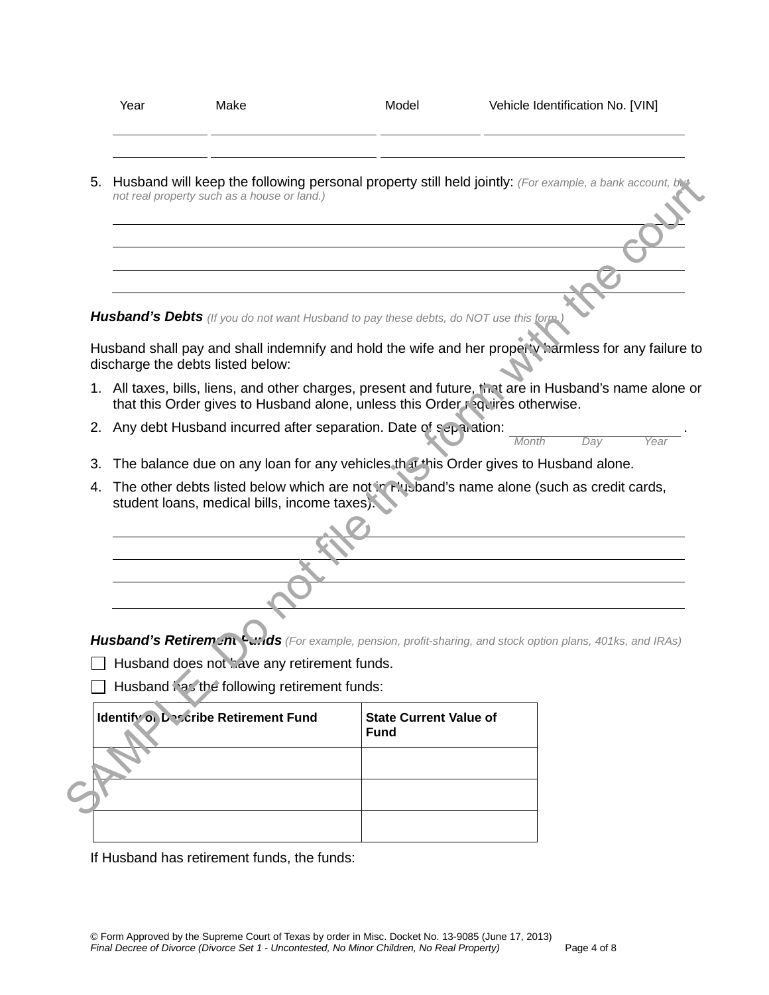|    | Year                                         | Make                                                                                          | Model                                        | Vehicle Identification No. [VIN]                                                                                                                                                        |
|----|----------------------------------------------|-----------------------------------------------------------------------------------------------|----------------------------------------------|-----------------------------------------------------------------------------------------------------------------------------------------------------------------------------------------|
| 5. |                                              | not real property such as a house or land.)                                                   |                                              | Husband will keep the following personal property still held jointly: (For example, a bank account, but                                                                                 |
|    |                                              |                                                                                               |                                              |                                                                                                                                                                                         |
|    |                                              |                                                                                               |                                              |                                                                                                                                                                                         |
|    |                                              |                                                                                               |                                              |                                                                                                                                                                                         |
|    |                                              |                                                                                               |                                              |                                                                                                                                                                                         |
|    |                                              | <b>Husband's Debts</b> (If you do not want Husband to pay these debts, do NOT use this form.) |                                              |                                                                                                                                                                                         |
|    | discharge the debts listed below:            |                                                                                               |                                              | Husband shall pay and shall indemnify and hold the wife and her property harmless for any failure to                                                                                    |
|    |                                              |                                                                                               |                                              | 1. All taxes, bills, liens, and other charges, present and future, that are in Husband's name alone or<br>that this Order gives to Husband alone, unless this Order requires otherwise. |
|    |                                              | 2. Any debt Husband incurred after separation. Date of separation:                            |                                              | Month<br>Dav<br>Year                                                                                                                                                                    |
| 3. |                                              |                                                                                               |                                              | The balance due on any loan for any vehicles that this Order gives to Husband alone.                                                                                                    |
| 4. | student loans, medical bills, income taxes). | The other debts listed below which are not in Flusband's name alone (such as credit cards,    |                                              |                                                                                                                                                                                         |
|    |                                              |                                                                                               |                                              |                                                                                                                                                                                         |
|    |                                              |                                                                                               |                                              |                                                                                                                                                                                         |
|    |                                              |                                                                                               |                                              |                                                                                                                                                                                         |
|    |                                              |                                                                                               |                                              |                                                                                                                                                                                         |
|    |                                              |                                                                                               |                                              | Husband's Retirem: nu Funds (For example, pension, profit-sharing, and stock option plans, 401ks, and IRAs)                                                                             |
|    |                                              | Husband does not have any retirement funds.                                                   |                                              |                                                                                                                                                                                         |
|    |                                              | Husband has the following retirement funds:                                                   |                                              |                                                                                                                                                                                         |
|    |                                              | <b>Identify on Describe Retirement Fund</b>                                                   | <b>State Current Value of</b><br><b>Fund</b> |                                                                                                                                                                                         |
|    |                                              |                                                                                               |                                              |                                                                                                                                                                                         |
|    |                                              |                                                                                               |                                              |                                                                                                                                                                                         |
|    |                                              |                                                                                               |                                              |                                                                                                                                                                                         |

| <b>Identify on Describe Retirement Fund</b> | <b>State Current Value of</b><br><b>Fund</b> |
|---------------------------------------------|----------------------------------------------|
|                                             |                                              |
|                                             |                                              |
|                                             |                                              |

If Husband has retirement funds, the funds: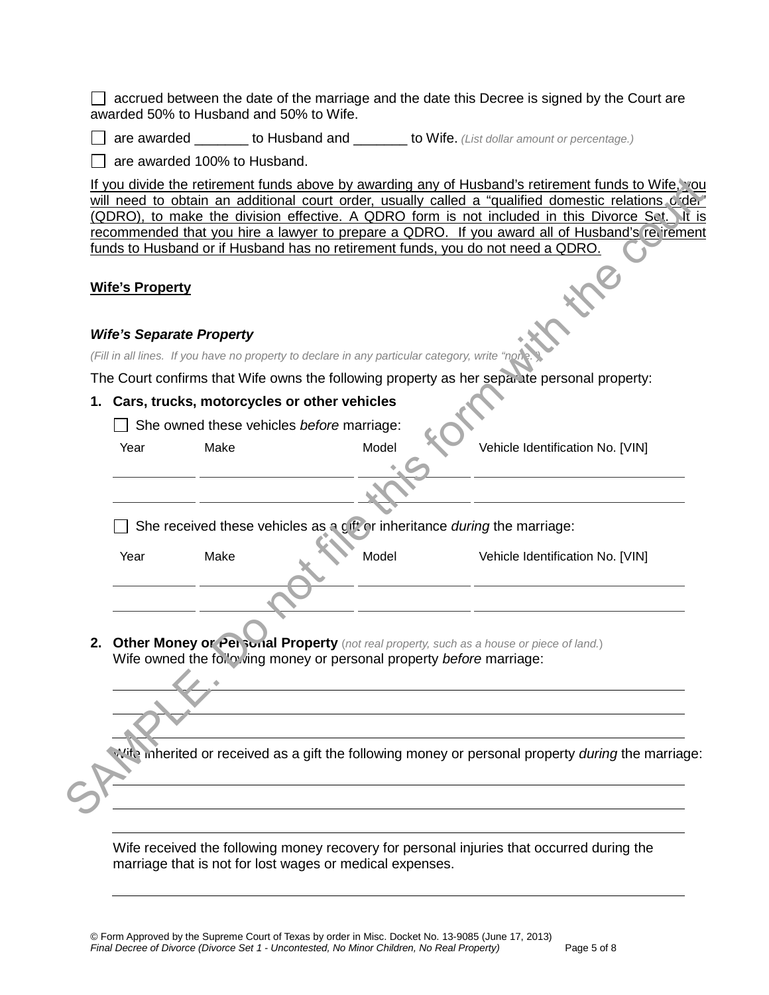$\Box$  accrued between the date of the marriage and the date this Decree is signed by the Court are awarded 50% to Husband and 50% to Wife.

are awarded \_\_\_\_\_\_\_ to Husband and \_\_\_\_\_\_\_ to Wife. *(List dollar amount or percentage.)*

 $\Box$  are awarded 100% to Husband.

#### **Wife's Property**

#### *Wife's Separate Property*

#### **1. Cars, trucks, motorcycles or other vehicles**

| <b>Wife's Property</b> |                                                |                                                                                               |                                                                                             |
|------------------------|------------------------------------------------|-----------------------------------------------------------------------------------------------|---------------------------------------------------------------------------------------------|
|                        | <b>Wife's Separate Property</b>                |                                                                                               |                                                                                             |
|                        |                                                | (Fill in all lines. If you have no property to declare in any particular category, write "not | The Court confirms that Wife owns the following property as her separate personal property: |
|                        | 1. Cars, trucks, motorcycles or other vehicles |                                                                                               |                                                                                             |
|                        |                                                | $\Box$ She owned these vehicles before marriage:                                              |                                                                                             |
| Year                   | Make                                           | Model                                                                                         | Vehicle Identification No. [VIN]                                                            |
|                        |                                                |                                                                                               |                                                                                             |
|                        |                                                |                                                                                               |                                                                                             |
|                        |                                                |                                                                                               |                                                                                             |
|                        |                                                | She received these vehicles as a gift or inheritance during the marriage:                     |                                                                                             |
| Year                   | Make                                           | Model                                                                                         | Vehicle Identification No. [VIN]                                                            |
|                        |                                                |                                                                                               |                                                                                             |
|                        |                                                |                                                                                               |                                                                                             |
|                        |                                                |                                                                                               | 2. Other Money or Personal Property (not real property, such as a house or piece of land.)  |
|                        |                                                | Wife owned the following money or personal property before marriage:                          |                                                                                             |
|                        |                                                |                                                                                               |                                                                                             |
|                        |                                                |                                                                                               |                                                                                             |
|                        |                                                |                                                                                               |                                                                                             |

Wife received the following money recovery for personal injuries that occurred during the marriage that is not for lost wages or medical expenses.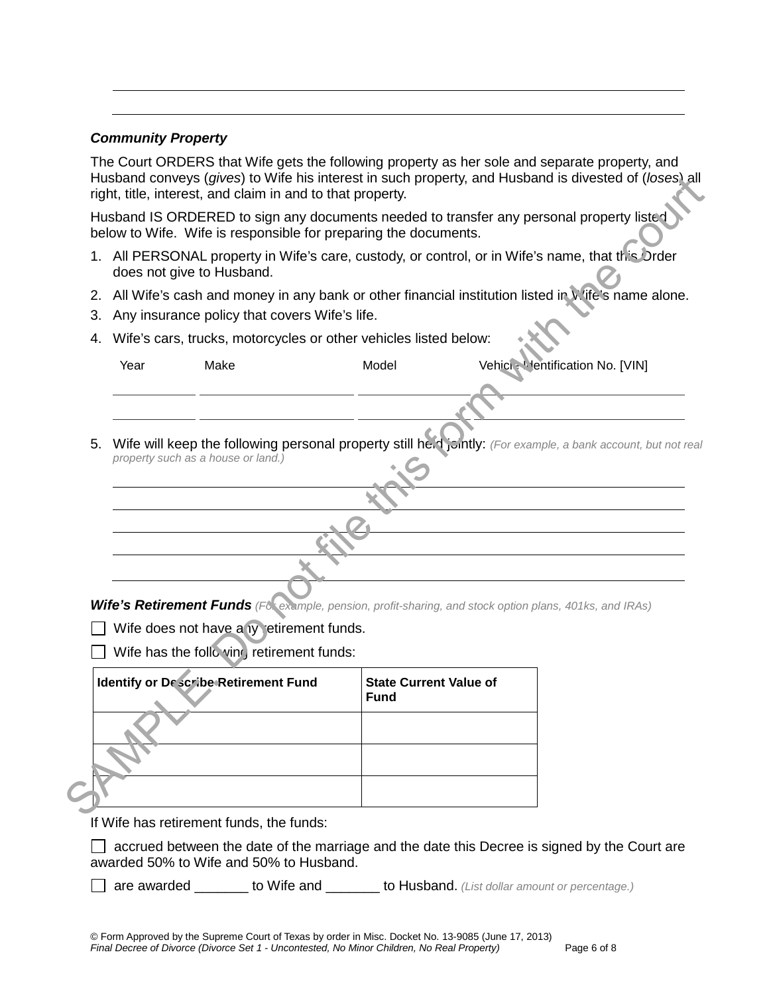### *Community Property*

The Court ORDERS that Wife gets the following property as her sole and separate property, and Husband conveys (*gives*) to Wife his interest in such property, and Husband is divested of (*loses*) all right, title, interest, and claim in and to that property.

- 1. All PERSONAL property in Wife's care, custody, or control, or in Wife's name, that this Order does not give to Husband.
- 2. All Wife's cash and money in any bank or other financial institution listed in Wife's name alone.
- 3. Any insurance policy that covers Wife's life.
- 4. Wife's cars, trucks, motorcycles or other vehicles listed below:

|    |      | below to Wife. Wife is responsible for preparing the documents.  |                                              | Husband IS ORDERED to sign any documents needed to transfer any personal property listed                      |  |
|----|------|------------------------------------------------------------------|----------------------------------------------|---------------------------------------------------------------------------------------------------------------|--|
|    |      | does not give to Husband.                                        |                                              | 1. All PERSONAL property in Wife's care, custody, or control, or in Wife's name, that this Order              |  |
|    |      |                                                                  |                                              | 2. All Wife's cash and money in any bank or other financial institution listed in V life's name alone.        |  |
| З. |      | Any insurance policy that covers Wife's life.                    |                                              |                                                                                                               |  |
| 4. |      | Wife's cars, trucks, motorcycles or other vehicles listed below: |                                              |                                                                                                               |  |
|    | Year | Make                                                             | Model                                        | Vehici: Mentification No. [VIN]                                                                               |  |
|    |      |                                                                  |                                              |                                                                                                               |  |
|    |      |                                                                  |                                              |                                                                                                               |  |
|    |      |                                                                  |                                              |                                                                                                               |  |
| 5. |      | property such as a house or land.)                               |                                              | Wife will keep the following personal property still he.d jointly: (For example, a bank account, but not real |  |
|    |      |                                                                  |                                              |                                                                                                               |  |
|    |      |                                                                  |                                              |                                                                                                               |  |
|    |      |                                                                  |                                              |                                                                                                               |  |
|    |      |                                                                  |                                              |                                                                                                               |  |
|    |      |                                                                  |                                              |                                                                                                               |  |
|    |      |                                                                  |                                              |                                                                                                               |  |
|    |      |                                                                  |                                              |                                                                                                               |  |
|    |      |                                                                  |                                              | Wife's Retirement Funds (Fet example, pension, profit-sharing, and stock option plans, 401ks, and IRAs)       |  |
|    |      | Wife does not have any retirement funds.                         |                                              |                                                                                                               |  |
|    |      | Wife has the follo vine, retirement funds:                       |                                              |                                                                                                               |  |
|    |      | <b>Identify or Describe Retirement Fund</b>                      | <b>State Current Value of</b><br><b>Fund</b> |                                                                                                               |  |
|    |      |                                                                  |                                              |                                                                                                               |  |
|    |      |                                                                  |                                              |                                                                                                               |  |
|    |      |                                                                  |                                              |                                                                                                               |  |
|    |      |                                                                  |                                              |                                                                                                               |  |
|    |      |                                                                  |                                              |                                                                                                               |  |
|    |      | If Wife has retirement funds, the funds:                         |                                              |                                                                                                               |  |
|    |      | awarded 50% to Wife and 50% to Husband.                          |                                              | accrued between the date of the marriage and the date this Decree is signed by the Court are                  |  |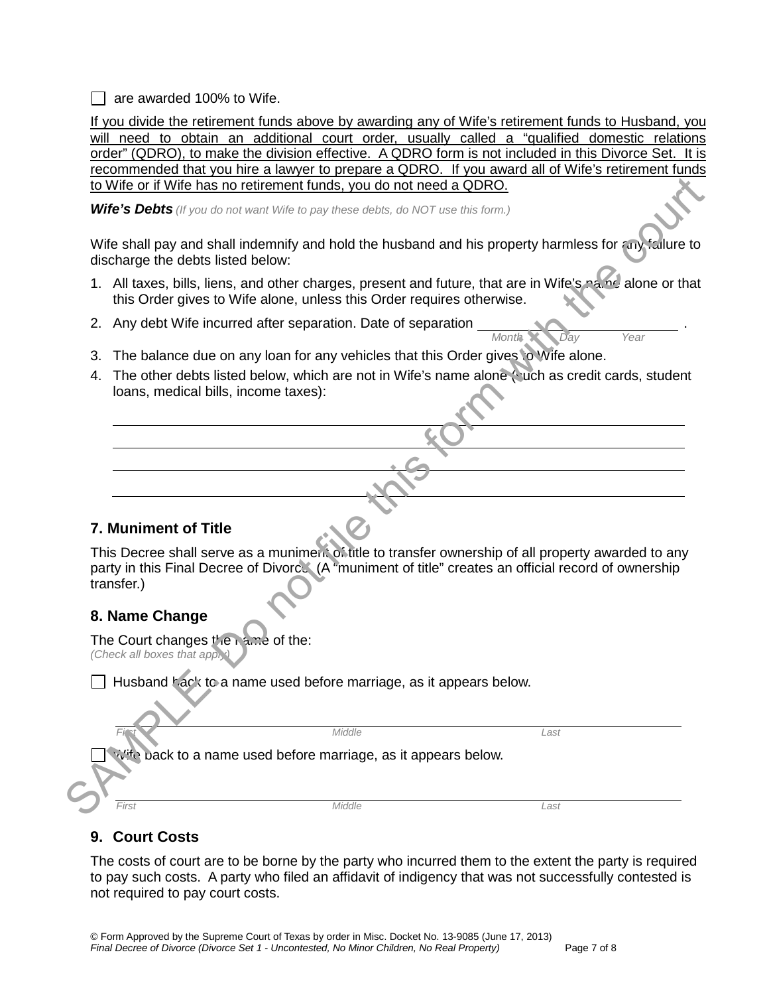$\Box$  are awarded 100% to Wife.

If you divide the retirement funds above by awarding any of Wife's retirement funds to Husband, you will need to obtain an additional court order, usually called a "qualified domestic relations order" (QDRO), to make the division effective. A QDRO form is not included in this Divorce Set. It is recommended that you hire a lawyer to prepare a QDRO. If you award all of Wife's retirement funds to Wife or if Wife has no retirement funds, you do not need a QDRO.

*Wife's Debts (If you do not want Wife to pay these debts, do NOT use this form.)*

Wife shall pay and shall indemnify and hold the husband and his property harmless for any failure to discharge the debts listed below:

1. All taxes, bills, liens, and other charges, present and future, that are in Wife's name alone or that this Order gives to Wife alone, unless this Order requires otherwise.

*Month Day Year* 

- 2. Any debt Wife incurred after separation. Date of separation \_\_\_\_\_\_\_\_\_\_\_\_\_\_\_\_\_\_
- 3. The balance due on any loan for any vehicles that this Order gives to Wife alone.
- 4. The other debts listed below, which are not in Wife's name alone (such as credit cards, student loans, medical bills, income taxes):

# **7. Muniment of Title**

This Decree shall serve as a muniment of title to transfer ownership of all property awarded to any party in this Final Decree of Divorce. (A "muniment of title" creates an official record of ownership transfer.) Solution to the contribution of the court of the court of the court of the court of the court of the court of the court of the court of the court of the court of the court of the court of the courte of the courte of the co

## **8. Name Change**

The Court changes the name of the: *(Check all boxes that apply)* 

|       | $\Box$ Husband hack to a name used before marriage, as it appears below. |      |  |
|-------|--------------------------------------------------------------------------|------|--|
|       |                                                                          |      |  |
|       | Middle                                                                   | Last |  |
|       | wite back to a name used before marriage, as it appears below.           |      |  |
|       |                                                                          |      |  |
| First | Middle                                                                   | ∟ast |  |

# **9. Court Costs**

The costs of court are to be borne by the party who incurred them to the extent the party is required to pay such costs. A party who filed an affidavit of indigency that was not successfully contested is not required to pay court costs.